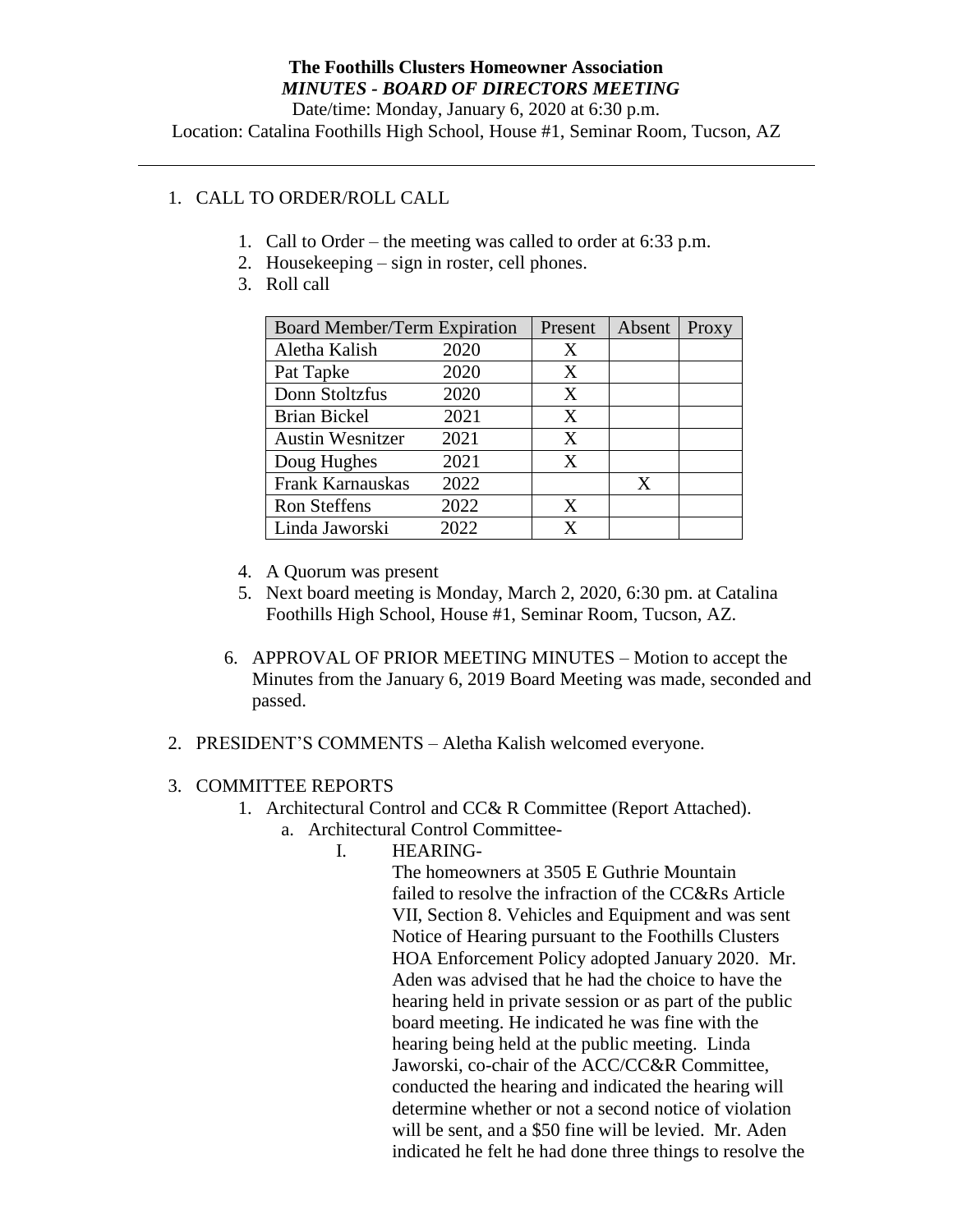Date/time: Monday, January 6, 2020 at 6:30 p.m. Location: Catalina Foothills High School, House #1, Seminar Room, Tucson, AZ

# 1. CALL TO ORDER/ROLL CALL

- 1. Call to Order the meeting was called to order at 6:33 p.m.
- 2. Housekeeping sign in roster, cell phones.
- 3. Roll call

| <b>Board Member/Term Expiration</b> |      | Present | Absent | Proxy |
|-------------------------------------|------|---------|--------|-------|
| Aletha Kalish                       | 2020 | X       |        |       |
| Pat Tapke                           | 2020 | X       |        |       |
| Donn Stoltzfus                      | 2020 | X       |        |       |
| <b>Brian Bickel</b>                 | 2021 | X       |        |       |
| <b>Austin Wesnitzer</b>             | 2021 | X       |        |       |
| Doug Hughes                         | 2021 | X       |        |       |
| Frank Karnauskas                    | 2022 |         | X      |       |
| <b>Ron Steffens</b>                 | 2022 | X       |        |       |
| Linda Jaworski                      | 2022 | x       |        |       |

- 4. A Quorum was present
- 5. Next board meeting is Monday, March 2, 2020, 6:30 pm. at Catalina Foothills High School, House #1, Seminar Room, Tucson, AZ.
- 6. APPROVAL OF PRIOR MEETING MINUTES Motion to accept the Minutes from the January 6, 2019 Board Meeting was made, seconded and passed.
- 2. PRESIDENT'S COMMENTS Aletha Kalish welcomed everyone.

## 3. COMMITTEE REPORTS

- 1. Architectural Control and CC& R Committee (Report Attached).
	- a. Architectural Control Committee-
		- I. HEARING-

The homeowners at 3505 E Guthrie Mountain failed to resolve the infraction of the CC&Rs Article VII, Section 8. Vehicles and Equipment and was sent Notice of Hearing pursuant to the Foothills Clusters HOA Enforcement Policy adopted January 2020. Mr. Aden was advised that he had the choice to have the hearing held in private session or as part of the public board meeting. He indicated he was fine with the hearing being held at the public meeting. Linda Jaworski, co-chair of the ACC/CC&R Committee, conducted the hearing and indicated the hearing will determine whether or not a second notice of violation will be sent, and a \$50 fine will be levied. Mr. Aden indicated he felt he had done three things to resolve the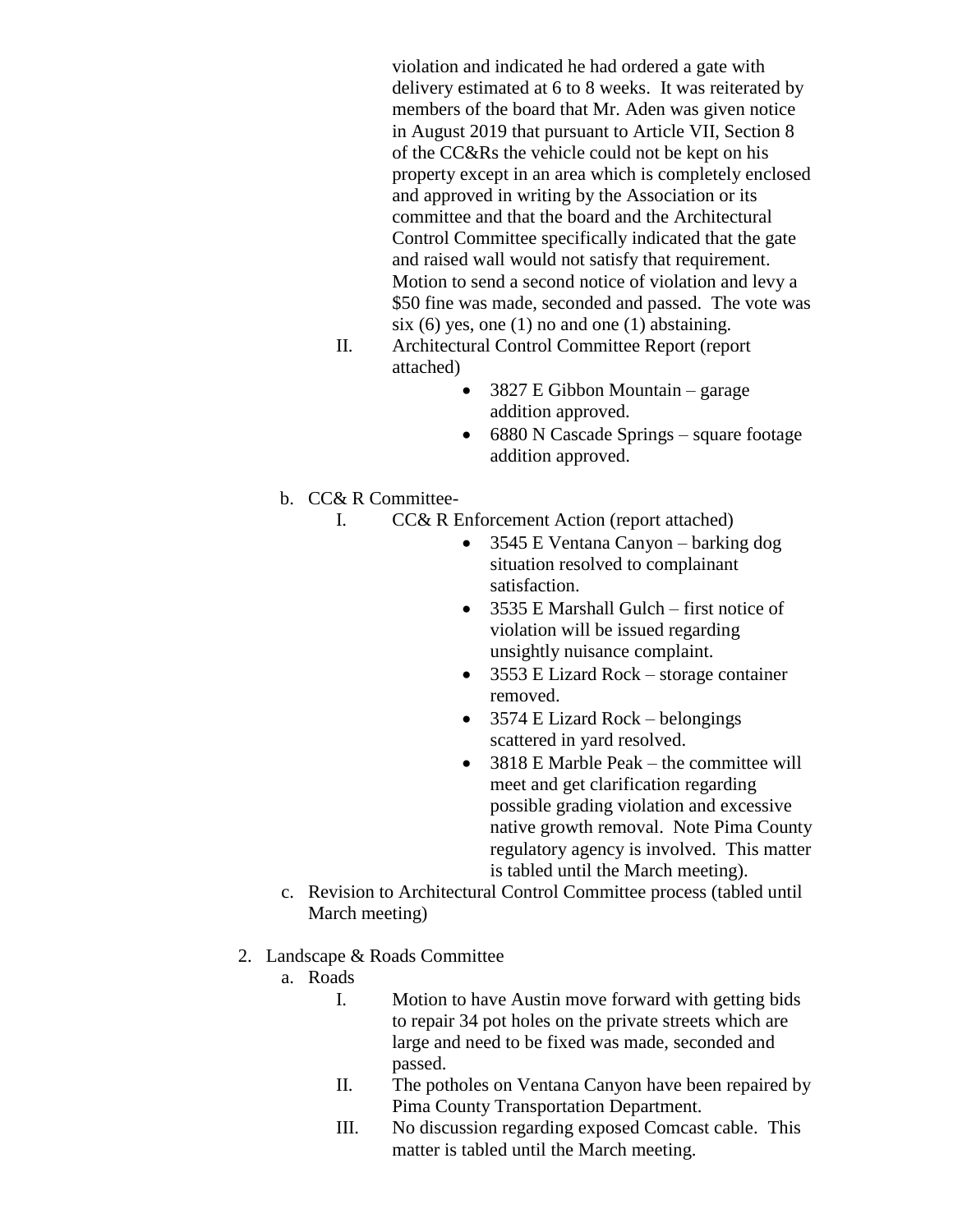violation and indicated he had ordered a gate with delivery estimated at 6 to 8 weeks. It was reiterated by members of the board that Mr. Aden was given notice in August 2019 that pursuant to Article VII, Section 8 of the CC&Rs the vehicle could not be kept on his property except in an area which is completely enclosed and approved in writing by the Association or its committee and that the board and the Architectural Control Committee specifically indicated that the gate and raised wall would not satisfy that requirement. Motion to send a second notice of violation and levy a \$50 fine was made, seconded and passed. The vote was six  $(6)$  yes, one  $(1)$  no and one  $(1)$  abstaining.

- II. Architectural Control Committee Report (report attached)
	- 3827 E Gibbon Mountain garage addition approved.
	- 6880 N Cascade Springs square footage addition approved.
- b. CC& R Committee-
	- I. CC& R Enforcement Action (report attached)
		- 3545 E Ventana Canyon barking dog situation resolved to complainant satisfaction.
		- 3535 E Marshall Gulch first notice of violation will be issued regarding unsightly nuisance complaint.
		- 3553 E Lizard Rock storage container removed.
		- $\bullet$  3574 E Lizard Rock belongings scattered in yard resolved.
		- 3818 E Marble Peak the committee will meet and get clarification regarding possible grading violation and excessive native growth removal. Note Pima County regulatory agency is involved. This matter is tabled until the March meeting).
- c. Revision to Architectural Control Committee process (tabled until March meeting)
- 2. Landscape & Roads Committee
	- a. Roads
		- I. Motion to have Austin move forward with getting bids to repair 34 pot holes on the private streets which are large and need to be fixed was made, seconded and passed.
		- II. The potholes on Ventana Canyon have been repaired by Pima County Transportation Department.
		- III. No discussion regarding exposed Comcast cable. This matter is tabled until the March meeting.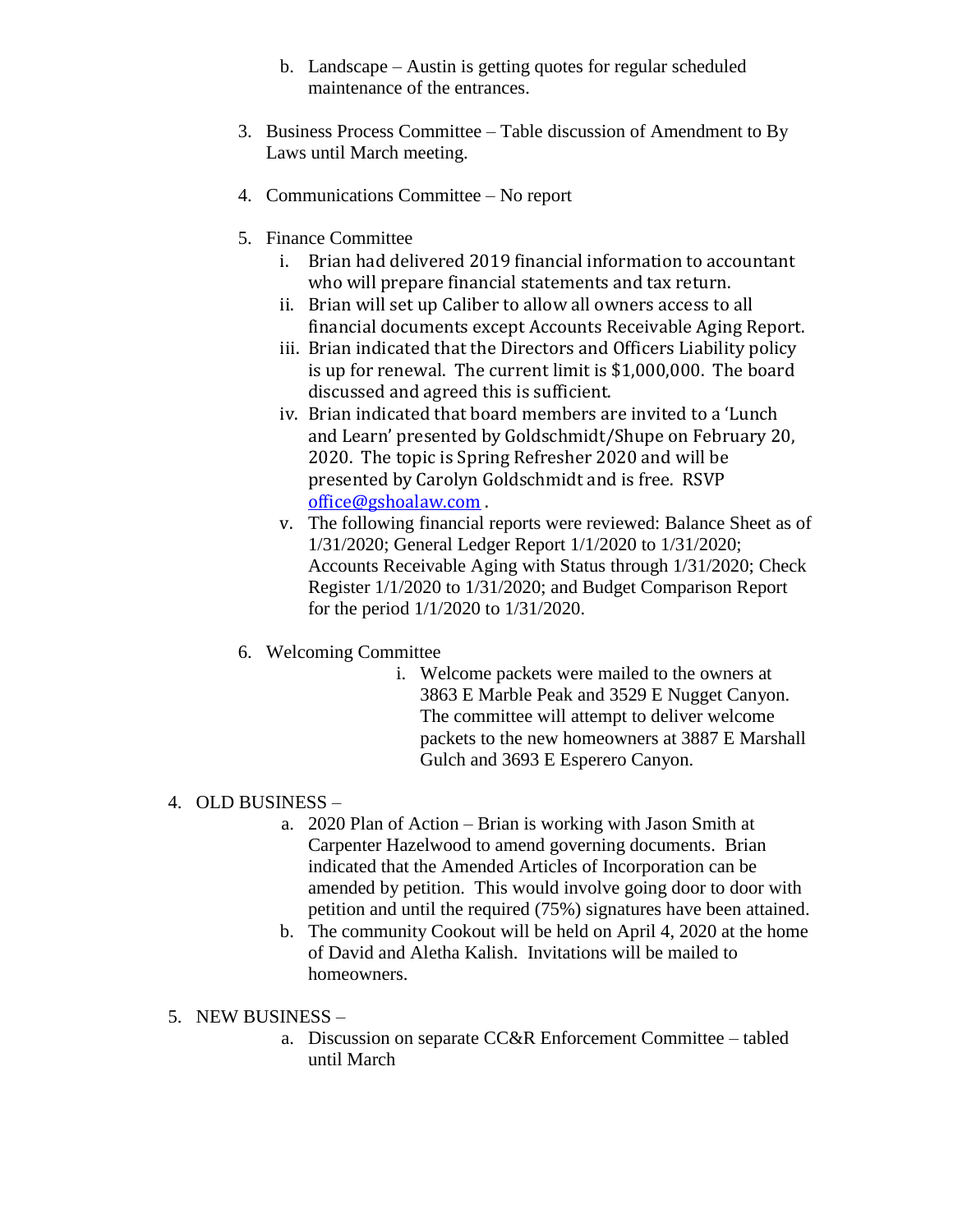- b. Landscape Austin is getting quotes for regular scheduled maintenance of the entrances.
- 3. Business Process Committee Table discussion of Amendment to By Laws until March meeting.
- 4. Communications Committee No report
- 5. Finance Committee
	- i. Brian had delivered 2019 financial information to accountant who will prepare financial statements and tax return.
	- ii. Brian will set up Caliber to allow all owners access to all financial documents except Accounts Receivable Aging Report.
	- iii. Brian indicated that the Directors and Officers Liability policy is up for renewal. The current limit is \$1,000,000. The board discussed and agreed this is sufficient.
	- iv. Brian indicated that board members are invited to a 'Lunch and Learn' presented by Goldschmidt/Shupe on February 20, 2020. The topic is Spring Refresher 2020 and will be presented by Carolyn Goldschmidt and is free. RSVP [office@gshoalaw.com](mailto:office@gshoalaw.com) .
	- v. The following financial reports were reviewed: Balance Sheet as of 1/31/2020; General Ledger Report 1/1/2020 to 1/31/2020; Accounts Receivable Aging with Status through 1/31/2020; Check Register 1/1/2020 to 1/31/2020; and Budget Comparison Report for the period 1/1/2020 to 1/31/2020.
- 6. Welcoming Committee
	- i. Welcome packets were mailed to the owners at 3863 E Marble Peak and 3529 E Nugget Canyon. The committee will attempt to deliver welcome packets to the new homeowners at 3887 E Marshall Gulch and 3693 E Esperero Canyon.

#### 4. OLD BUSINESS –

- a. 2020 Plan of Action Brian is working with Jason Smith at Carpenter Hazelwood to amend governing documents. Brian indicated that the Amended Articles of Incorporation can be amended by petition. This would involve going door to door with petition and until the required (75%) signatures have been attained.
- b. The community Cookout will be held on April 4, 2020 at the home of David and Aletha Kalish. Invitations will be mailed to homeowners.

#### 5. NEW BUSINESS –

a. Discussion on separate CC&R Enforcement Committee – tabled until March